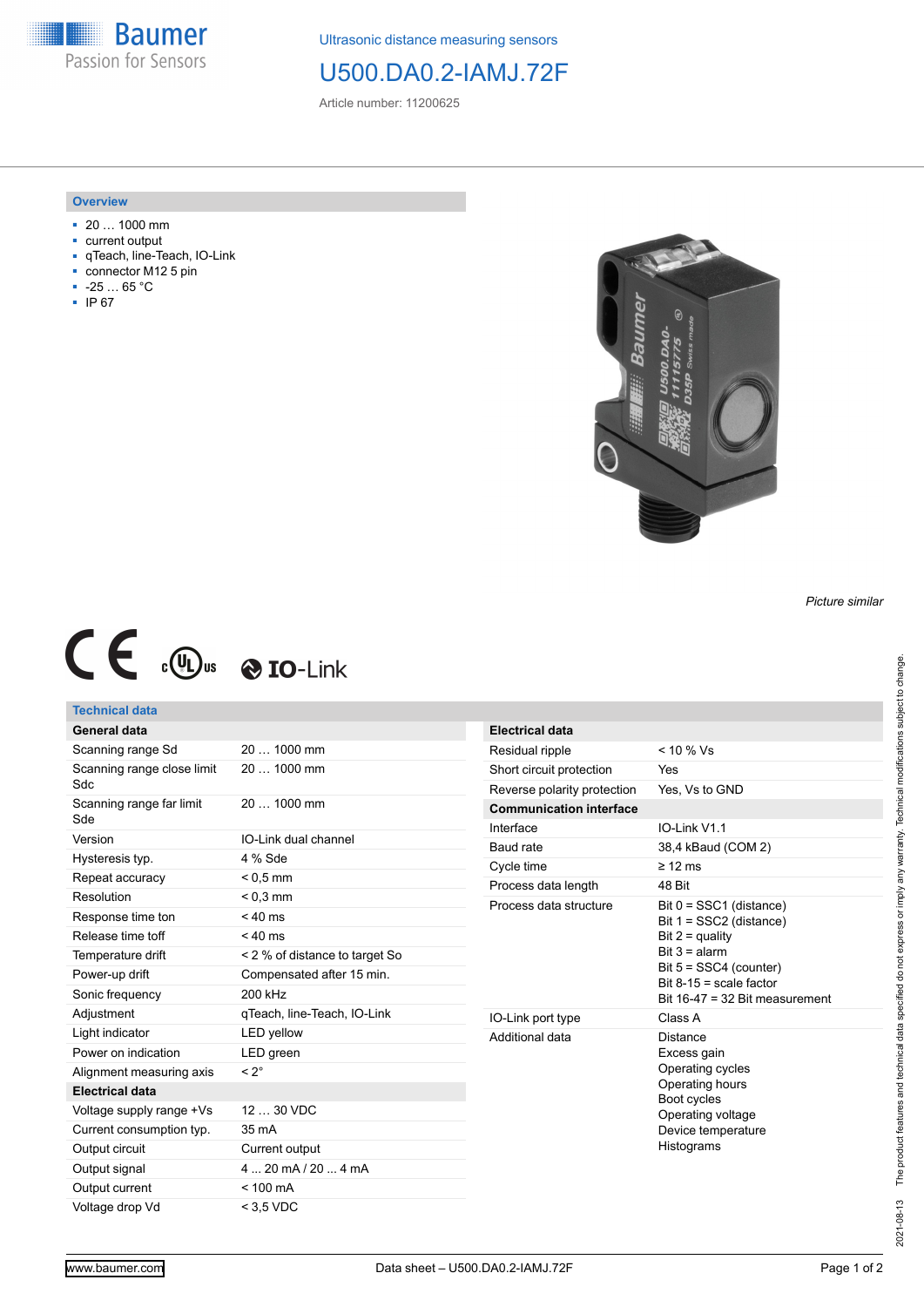**Baumer** Passion for Sensors

Ultrasonic distance measuring sensors

# U500.DA0.2-IAMJ.72F

Article number: 11200625

## **Overview**

- 20 … 1000 mm
- current output
- qTeach, line-Teach, IO-Link
- connector M12 5 pin
- -25 … 65 °C
- IP 67



#### *Picture similar*

# $C \in \mathbb{C}$   $\mathbb{C}$   $\bullet$  **10**-Link

# **Technical data**

| General data                      |                                |  |
|-----------------------------------|--------------------------------|--|
| Scanning range Sd                 | 20  1000 mm                    |  |
| Scanning range close limit<br>Sdc | 20  1000 mm                    |  |
| Scanning range far limit<br>Sde   | 20  1000 mm                    |  |
| Version                           | IO-Link dual channel           |  |
| Hysteresis typ.                   | 4 % Sde                        |  |
| Repeat accuracy                   | $< 0.5$ mm                     |  |
| Resolution                        | $< 0.3$ mm                     |  |
| Response time ton                 | $< 40$ ms                      |  |
| Release time toff                 | $< 40$ ms                      |  |
| Temperature drift                 | < 2 % of distance to target So |  |
| Power-up drift                    | Compensated after 15 min.      |  |
| Sonic frequency                   | 200 kHz                        |  |
| Adjustment                        | qTeach, line-Teach, IO-Link    |  |
| Light indicator                   | <b>LED</b> yellow              |  |
| Power on indication               | LED green                      |  |
| Alignment measuring axis          | $< 2^{\circ}$                  |  |
| <b>Electrical data</b>            |                                |  |
| Voltage supply range +Vs          | 12  30 VDC                     |  |
| Current consumption typ.          | 35 mA                          |  |
| Output circuit                    | Current output                 |  |
| Output signal                     | $420$ mA $/204$ mA             |  |
| Output current                    | $< 100 \text{ mA}$             |  |
| Voltage drop Vd                   | $<$ 3.5 VDC                    |  |

| <b>Electrical data</b>         |                                                                                                                                                                                         |  |
|--------------------------------|-----------------------------------------------------------------------------------------------------------------------------------------------------------------------------------------|--|
| Residual ripple                | $< 10 \%$ Vs                                                                                                                                                                            |  |
| Short circuit protection       | Yes                                                                                                                                                                                     |  |
| Reverse polarity protection    | Yes, Vs to GND                                                                                                                                                                          |  |
| <b>Communication interface</b> |                                                                                                                                                                                         |  |
| Interface                      | $IO-I$ ink $V11$                                                                                                                                                                        |  |
| Baud rate                      | 38,4 kBaud (COM 2)                                                                                                                                                                      |  |
| Cycle time                     | $\geq$ 12 ms                                                                                                                                                                            |  |
| Process data length            | 48 Rit                                                                                                                                                                                  |  |
| Process data structure         | Bit 0 = SSC1 (distance)<br>Bit $1 = SSC2$ (distance)<br>Bit $2 =$ quality<br>Bit $3 =$ alarm<br>Bit $5 = SSC4$ (counter)<br>Bit $8-15$ = scale factor<br>Bit 16-47 = 32 Bit measurement |  |
| IO-Link port type              | Class A                                                                                                                                                                                 |  |
| Additional data                | Distance<br>Excess gain<br>Operating cycles<br>Operating hours<br>Boot cycles<br>Operating voltage<br>Device temperature<br>Histograms                                                  |  |